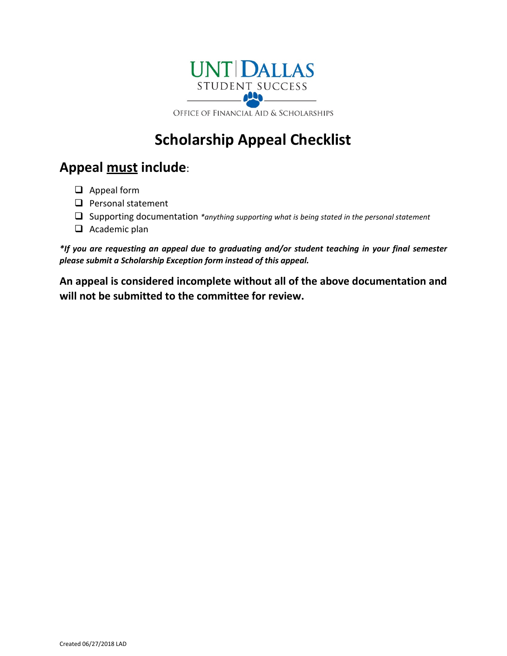

# **Scholarship Appeal Checklist**

# **Appeal must include**:

- $\Box$  Appeal form
- $\Box$  Personal statement
- Supporting documentation *\*anything supporting what is being stated in the personal statement*
- $\Box$  Academic plan

*\*If you are requesting an appeal due to graduating and/or student teaching in your final semester please submit a Scholarship Exception form instead of this appeal.*

**An appeal is considered incomplete without all of the above documentation and will not be submitted to the committee for review.**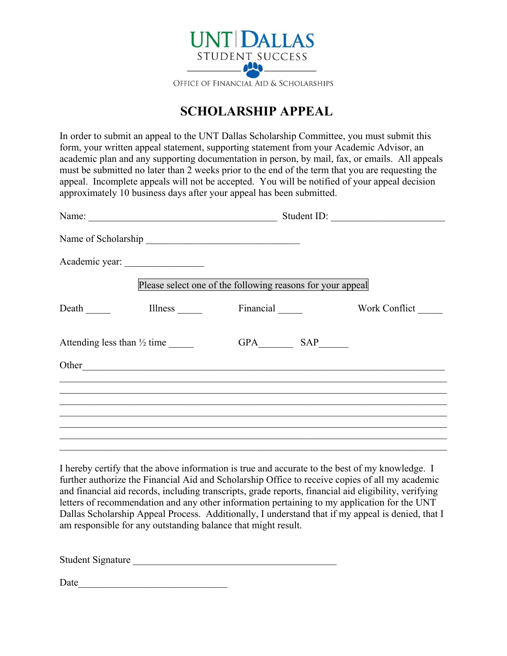

## **SCHOLARSHIP APPEAL**

In order to submit an appeal to the UNT Dallas Scholarship Committee, you must submit this form, your written appeal statement, supporting statement from your Academic Advisor, an academic plan and any supporting documentation in person, by mail, fax, or emails. All appeals must be submitted no later than 2 weeks prior to the end of the term that you are requesting the appeal. Incomplete appeals will not be accepted. You will be notified of your appeal decision approximately 10 business days after your appeal has been submitted.

|                | Name: 2008. 2008. 2010. 2010. 2010. 2010. 2010. 2010. 2010. 2010. 2010. 2010. 2010. 2010. 2010. 2010. 2010. 20 |                                                            | Student ID: |               |  |  |  |
|----------------|----------------------------------------------------------------------------------------------------------------|------------------------------------------------------------|-------------|---------------|--|--|--|
|                |                                                                                                                |                                                            |             |               |  |  |  |
|                |                                                                                                                |                                                            |             |               |  |  |  |
|                |                                                                                                                | Please select one of the following reasons for your appeal |             |               |  |  |  |
| Death $\qquad$ | <b>Illness</b>                                                                                                 | Financial                                                  |             | Work Conflict |  |  |  |
|                |                                                                                                                | GPA SAP                                                    |             |               |  |  |  |
|                |                                                                                                                |                                                            |             |               |  |  |  |
|                |                                                                                                                |                                                            |             |               |  |  |  |
|                |                                                                                                                |                                                            |             |               |  |  |  |
|                |                                                                                                                |                                                            |             |               |  |  |  |

I hereby certify that the above information is true and accurate to the best of my knowledge. I further authorize the Financial Aid and Scholarship Office to receive copies of all my academic and financial aid records, including transcripts, grade reports, financial aid eligibility, verifying letters of recommendation and any other information pertaining to my application for the UNT Dallas Scholarship Appeal Process. Additionally, I understand that if my appeal is denied, that I am responsible for any outstanding balance that might result.

Student Signature

 $Date$   $\qquad \qquad$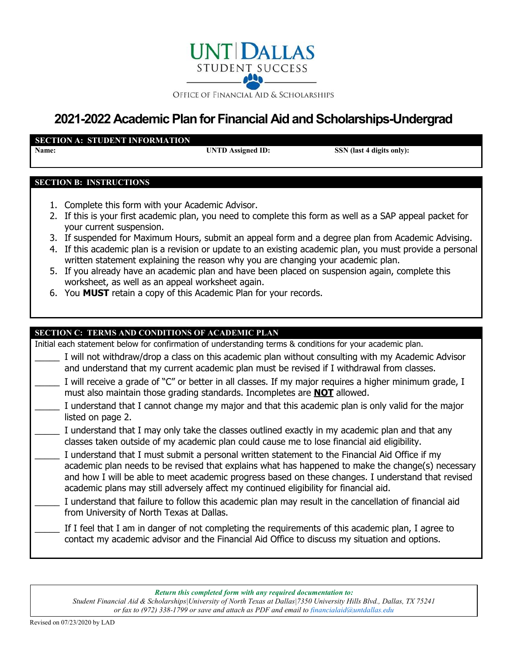

## **2021-2022 Academic Plan for Financial Aid and Scholarships-Undergrad**

#### **SECTION A: STUDENT INFORMATION**

**Name: UNTD Assigned ID:** SSN (last 4 digits only):

### **SECTION B: INSTRUCTIONS**

- 1. Complete this form with your Academic Advisor.
- 2. If this is your first academic plan, you need to complete this form as well as a SAP appeal packet for your current suspension.
- 3. If suspended for Maximum Hours, submit an appeal form and a degree plan from Academic Advising.
- 4. If this academic plan is a revision or update to an existing academic plan, you must provide a personal written statement explaining the reason why you are changing your academic plan.
- 5. If you already have an academic plan and have been placed on suspension again, complete this worksheet, as well as an appeal worksheet again.
- 6. You **MUST** retain a copy of this Academic Plan for your records.

## **SECTION C: TERMS AND CONDITIONS OF ACADEMIC PLAN**

Initial each statement below for confirmation of understanding terms & conditions for your academic plan.

- I will not withdraw/drop a class on this academic plan without consulting with my Academic Advisor and understand that my current academic plan must be revised if I withdrawal from classes.
- I will receive a grade of "C" or better in all classes. If my major requires a higher minimum grade, I must also maintain those grading standards. Incompletes are **NOT** allowed.
- I understand that I cannot change my major and that this academic plan is only valid for the major listed on page 2.
- I understand that I may only take the classes outlined exactly in my academic plan and that any classes taken outside of my academic plan could cause me to lose financial aid eligibility.
- I understand that I must submit a personal written statement to the Financial Aid Office if my academic plan needs to be revised that explains what has happened to make the change(s) necessary and how I will be able to meet academic progress based on these changes. I understand that revised academic plans may still adversely affect my continued eligibility for financial aid.
- I understand that failure to follow this academic plan may result in the cancellation of financial aid from University of North Texas at Dallas.
	- If I feel that I am in danger of not completing the requirements of this academic plan, I agree to contact my academic advisor and the Financial Aid Office to discuss my situation and options.

*Student Financial Aid & Scholarships|University of North Texas at Dallas|7350 University Hills Blvd., Dallas, TX 75241 or fax to (972) 338-1799 or save and attach as PDF and email to [financialaid@untdallas.edu](mailto:financialaid@untdallas.edu)*

*Return this completed form with any required documentation to:*